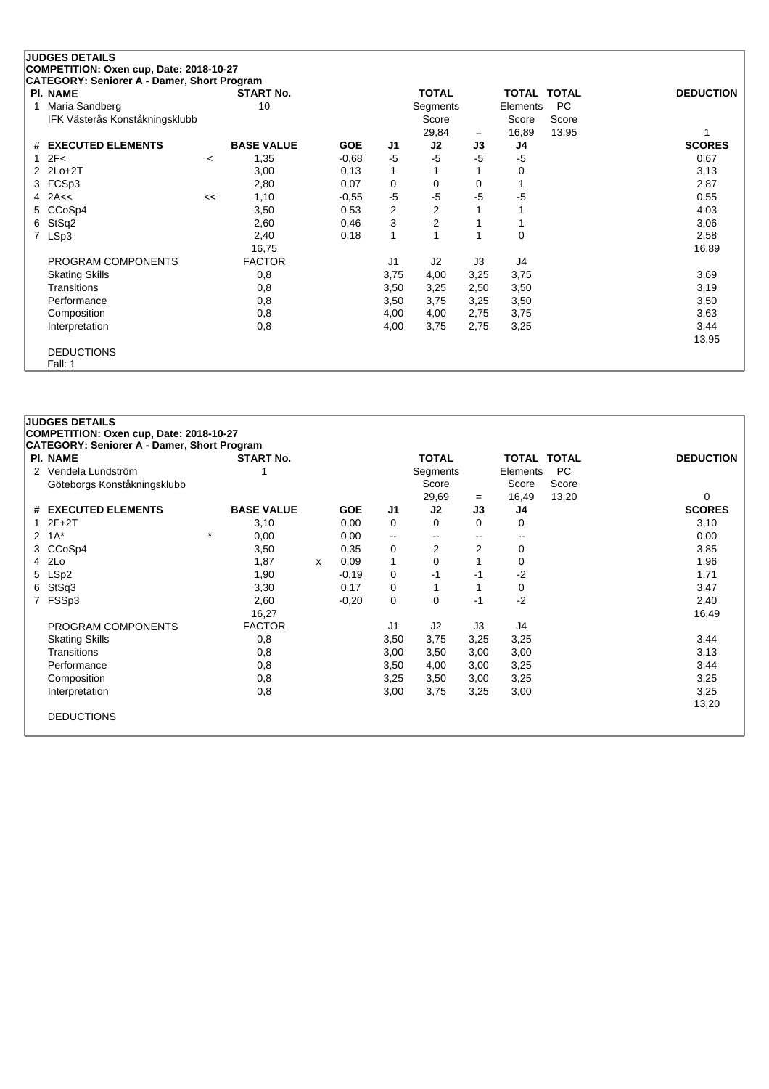|   | <b>JUDGES DETAILS</b>                       |         |                   |            |              |                |          |                    |           |                  |
|---|---------------------------------------------|---------|-------------------|------------|--------------|----------------|----------|--------------------|-----------|------------------|
|   | COMPETITION: Oxen cup, Date: 2018-10-27     |         |                   |            |              |                |          |                    |           |                  |
|   | CATEGORY: Seniorer A - Damer, Short Program |         |                   |            |              |                |          |                    |           |                  |
|   | PI. NAME                                    |         | <b>START No.</b>  |            |              | <b>TOTAL</b>   |          | <b>TOTAL TOTAL</b> |           | <b>DEDUCTION</b> |
|   | Maria Sandberg                              |         | 10                |            |              | Segments       |          | Elements           | <b>PC</b> |                  |
|   | IFK Västerås Konståkningsklubb              |         |                   |            |              | Score          |          | Score              | Score     |                  |
|   |                                             |         |                   |            |              | 29,84          | $=$      | 16,89              | 13,95     |                  |
| # | <b>EXECUTED ELEMENTS</b>                    |         | <b>BASE VALUE</b> | <b>GOE</b> | J1           | J2             | J3       | J4                 |           | <b>SCORES</b>    |
|   | 2F<                                         | $\prec$ | 1,35              | $-0.68$    | $-5$         | $-5$           | $-5$     | $-5$               |           | 0,67             |
| 2 | $2Lo+2T$                                    |         | 3,00              | 0,13       | $\mathbf{1}$ |                |          | 0                  |           | 3,13             |
| 3 | FCSp3                                       |         | 2,80              | 0,07       | 0            | 0              | $\Omega$ |                    |           | 2,87             |
| 4 | 2A<<                                        | <<      | 1,10              | $-0,55$    | $-5$         | $-5$           | -5       | -5                 |           | 0,55             |
| 5 | CCoSp4                                      |         | 3,50              | 0,53       | 2            | 2              |          |                    |           | 4,03             |
| 6 | StSq2                                       |         | 2,60              | 0,46       | 3            | $\overline{2}$ |          |                    |           | 3,06             |
| 7 | LSp3                                        |         | 2,40              | 0,18       | 1            |                | 1        | 0                  |           | 2,58             |
|   |                                             |         | 16,75             |            |              |                |          |                    |           | 16,89            |
|   | PROGRAM COMPONENTS                          |         | <b>FACTOR</b>     |            | J1           | J2             | J3       | J4                 |           |                  |
|   | <b>Skating Skills</b>                       |         | 0,8               |            | 3,75         | 4,00           | 3,25     | 3,75               |           | 3,69             |
|   | Transitions                                 |         | 0,8               |            | 3,50         | 3,25           | 2,50     | 3,50               |           | 3,19             |
|   | Performance                                 |         | 0,8               |            | 3,50         | 3,75           | 3,25     | 3,50               |           | 3,50             |
|   | Composition                                 |         | 0,8               |            | 4,00         | 4,00           | 2,75     | 3,75               |           | 3,63             |
|   | Interpretation                              |         | 0,8               |            | 4,00         | 3,75           | 2,75     | 3,25               |           | 3,44             |
|   |                                             |         |                   |            |              |                |          |                    |           | 13,95            |
|   | <b>DEDUCTIONS</b>                           |         |                   |            |              |                |          |                    |           |                  |
|   | Fall: 1                                     |         |                   |            |              |                |          |                    |           |                  |

| <b>PI. NAME</b>                    | <b>START No.</b>  |   |            |                | <b>TOTAL</b> |          | TOTAL TOTAL |           | <b>DEDUCTION</b> |
|------------------------------------|-------------------|---|------------|----------------|--------------|----------|-------------|-----------|------------------|
| Vendela Lundström<br>$\mathcal{P}$ |                   |   |            |                | Segments     |          | Elements    | <b>PC</b> |                  |
| Göteborgs Konståkningsklubb        |                   |   |            |                | Score        |          | Score       | Score     |                  |
|                                    |                   |   |            |                | 29,69        | $=$      | 16,49       | 13,20     | 0                |
| <b>EXECUTED ELEMENTS</b><br>#      | <b>BASE VALUE</b> |   | <b>GOE</b> | J1             | J2           | J3       | J4          |           | <b>SCORES</b>    |
| $2F+2T$<br>1                       | 3,10              |   | 0,00       | 0              | $\Omega$     | $\Omega$ | 0           |           | 3,10             |
| $1A^*$<br>2                        | $\star$<br>0,00   |   | 0,00       | --             | --           | --       | --          |           | 0,00             |
| CCoSp4<br>3                        | 3,50              |   | 0,35       | 0              | 2            | 2        | $\mathbf 0$ |           | 3,85             |
| 2Lo<br>4                           | 1,87              | x | 0,09       | 1              | $\Omega$     |          | $\Omega$    |           | 1,96             |
| LSp2<br>5                          | 1,90              |   | $-0,19$    | 0              | $-1$         | -1       | $-2$        |           | 1,71             |
| StSq3<br>6                         | 3,30              |   | 0,17       | 0              |              |          | 0           |           | 3,47             |
| FSSp3<br>7                         | 2,60              |   | $-0,20$    | 0              | 0            | $-1$     | $-2$        |           | 2,40             |
|                                    | 16,27             |   |            |                |              |          |             |           | 16,49            |
| PROGRAM COMPONENTS                 | <b>FACTOR</b>     |   |            | J <sub>1</sub> | J2           | J3       | J4          |           |                  |
| <b>Skating Skills</b>              | 0,8               |   |            | 3,50           | 3,75         | 3,25     | 3,25        |           | 3,44             |
| Transitions                        | 0,8               |   |            | 3,00           | 3,50         | 3,00     | 3,00        |           | 3,13             |
| Performance                        | 0,8               |   |            | 3,50           | 4,00         | 3,00     | 3,25        |           | 3,44             |
| Composition                        | 0,8               |   |            | 3,25           | 3,50         | 3,00     | 3,25        |           | 3,25             |
| Interpretation                     | 0,8               |   |            | 3,00           | 3,75         | 3,25     | 3,00        |           | 3,25             |
|                                    |                   |   |            |                |              |          |             |           | 13,20            |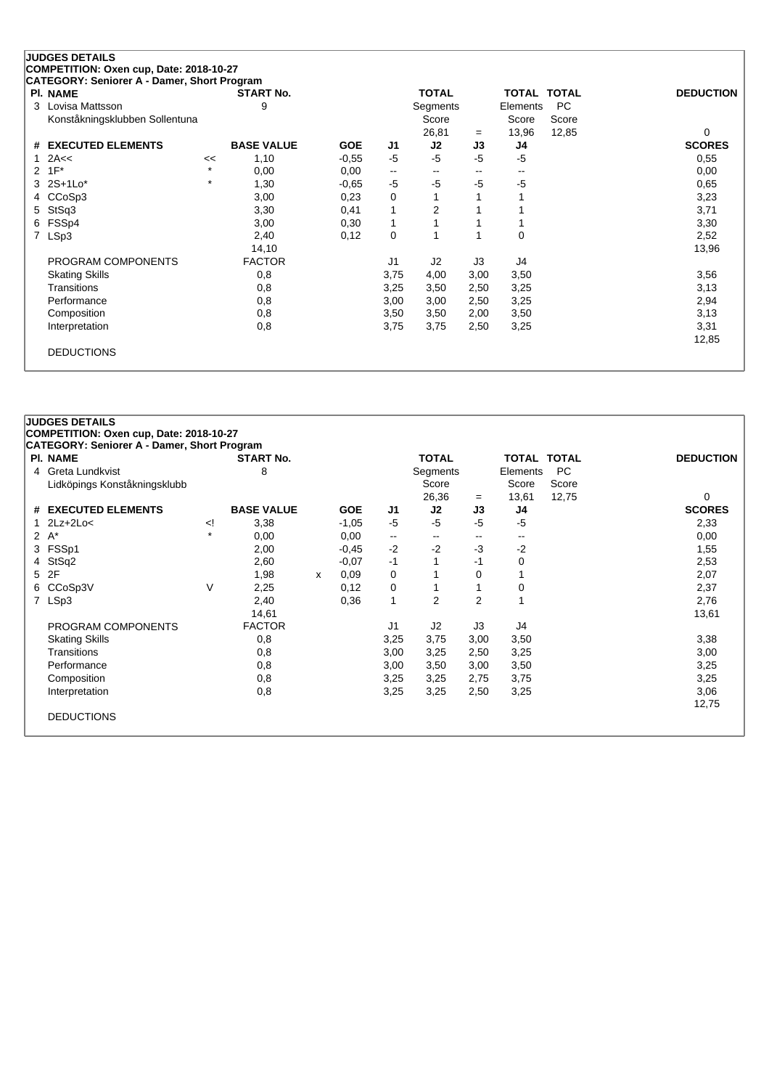|   | <b>JUDGES DETAILS</b>                       |         |                   |            |                          |                |      |                          |                    |                  |
|---|---------------------------------------------|---------|-------------------|------------|--------------------------|----------------|------|--------------------------|--------------------|------------------|
|   | COMPETITION: Oxen cup, Date: 2018-10-27     |         |                   |            |                          |                |      |                          |                    |                  |
|   | CATEGORY: Seniorer A - Damer, Short Program |         |                   |            |                          |                |      |                          |                    |                  |
|   | <b>PI. NAME</b>                             |         | <b>START No.</b>  |            |                          | <b>TOTAL</b>   |      |                          | <b>TOTAL TOTAL</b> | <b>DEDUCTION</b> |
| 3 | Lovisa Mattsson                             |         | 9                 |            |                          | Segments       |      | Elements                 | <b>PC</b>          |                  |
|   | Konståkningsklubben Sollentuna              |         |                   |            |                          | Score          |      | Score                    | Score              |                  |
|   |                                             |         |                   |            |                          | 26,81          | $=$  | 13,96                    | 12,85              | 0                |
| # | <b>EXECUTED ELEMENTS</b>                    |         | <b>BASE VALUE</b> | <b>GOE</b> | J1                       | J2             | J3   | J4                       |                    | <b>SCORES</b>    |
|   | 2A<<                                        | <<      | 1,10              | $-0,55$    | -5                       | $-5$           | $-5$ | $-5$                     |                    | 0,55             |
| 2 | $1F^*$                                      | $\star$ | 0,00              | 0,00       | $\overline{\phantom{a}}$ | --             | --   | $\overline{\phantom{a}}$ |                    | 0,00             |
| 3 | $2S+1Lo*$                                   | $\star$ | 1,30              | $-0.65$    | $-5$                     | $-5$           | $-5$ | $-5$                     |                    | 0,65             |
| 4 | CCoSp3                                      |         | 3,00              | 0,23       | 0                        |                |      |                          |                    | 3,23             |
| 5 | StSq3                                       |         | 3,30              | 0,41       | 1                        | $\overline{2}$ |      |                          |                    | 3,71             |
| 6 | FSSp4                                       |         | 3,00              | 0,30       | 1                        |                |      |                          |                    | 3,30             |
| 7 | LSp3                                        |         | 2,40              | 0,12       | 0                        |                | 1    | 0                        |                    | 2,52             |
|   |                                             |         | 14,10             |            |                          |                |      |                          |                    | 13,96            |
|   | PROGRAM COMPONENTS                          |         | <b>FACTOR</b>     |            | J1                       | J2             | J3   | J4                       |                    |                  |
|   | <b>Skating Skills</b>                       |         | 0,8               |            | 3,75                     | 4,00           | 3,00 | 3,50                     |                    | 3,56             |
|   | Transitions                                 |         | 0,8               |            | 3,25                     | 3,50           | 2,50 | 3,25                     |                    | 3,13             |
|   | Performance                                 |         | 0,8               |            | 3,00                     | 3,00           | 2,50 | 3,25                     |                    | 2,94             |
|   | Composition                                 |         | 0,8               |            | 3,50                     | 3,50           | 2,00 | 3,50                     |                    | 3,13             |
|   | Interpretation                              |         | 0,8               |            | 3,75                     | 3,75           | 2,50 | 3,25                     |                    | 3,31             |
|   |                                             |         |                   |            |                          |                |      |                          |                    | 12,85            |
|   |                                             |         |                   |            |                          |                |      |                          |                    |                  |
|   | <b>DEDUCTIONS</b>                           |         |                   |            |                          |                |      |                          |                    |                  |

|              | PI. NAME                     |                                                                                                                                                                                      | <b>START No.</b>  |   |            |              | <b>TOTAL</b>   |                | <b>TOTAL TOTAL</b> |       | <b>DEDUCTION</b> |
|--------------|------------------------------|--------------------------------------------------------------------------------------------------------------------------------------------------------------------------------------|-------------------|---|------------|--------------|----------------|----------------|--------------------|-------|------------------|
| 4            | Greta Lundkvist              |                                                                                                                                                                                      | 8                 |   |            |              | Segments       |                | Elements           | PC    |                  |
|              | Lidköpings Konståkningsklubb |                                                                                                                                                                                      |                   |   |            |              | Score          |                | Score              | Score |                  |
|              |                              |                                                                                                                                                                                      |                   |   |            |              | 26,36          | $=$            | 13,61              | 12,75 | 0                |
|              | # EXECUTED ELEMENTS          |                                                                                                                                                                                      | <b>BASE VALUE</b> |   | <b>GOE</b> | J1           | J2             | J3             | J4                 |       | <b>SCORES</b>    |
| $\mathbf{1}$ | $2Lz+2Lo<$                   | </td <td>3,38</td> <td></td> <td><math>-1,05</math></td> <td><math>-5</math></td> <td><math>-5</math></td> <td><math>-5</math></td> <td><math>-5</math></td> <td></td> <td>2,33</td> | 3,38              |   | $-1,05$    | $-5$         | $-5$           | $-5$           | $-5$               |       | 2,33             |
|              | $2 A^*$                      | $\star$                                                                                                                                                                              | 0,00              |   | 0,00       | $\mathbf{u}$ | $- -$          | $-$            | $- -$              |       | 0,00             |
|              | 3 FSSp1                      |                                                                                                                                                                                      | 2,00              |   | $-0,45$    | $-2$         | $-2$           | $-3$           | $-2$               |       | 1,55             |
| 4            | StSq2                        |                                                                                                                                                                                      | 2,60              |   | $-0.07$    | $-1$         |                | -1             | 0                  |       | 2,53             |
|              | 5 2F                         |                                                                                                                                                                                      | 1,98              | x | 0.09       | 0            |                | $\Omega$       |                    |       | 2,07             |
| 6            | CCoSp3V                      | V                                                                                                                                                                                    | 2,25              |   | 0,12       | 0            |                |                | 0                  |       | 2,37             |
|              | 7 LSp3                       |                                                                                                                                                                                      | 2,40              |   | 0,36       | $\mathbf{1}$ | $\overline{2}$ | $\overline{2}$ |                    |       | 2,76             |
|              |                              |                                                                                                                                                                                      | 14,61             |   |            |              |                |                |                    |       | 13,61            |
|              | PROGRAM COMPONENTS           |                                                                                                                                                                                      | <b>FACTOR</b>     |   |            | J1           | J2             | J3             | J4                 |       |                  |
|              | <b>Skating Skills</b>        |                                                                                                                                                                                      | 0,8               |   |            | 3,25         | 3,75           | 3,00           | 3,50               |       | 3,38             |
|              | Transitions                  |                                                                                                                                                                                      | 0,8               |   |            | 3,00         | 3,25           | 2,50           | 3,25               |       | 3,00             |
|              | Performance                  |                                                                                                                                                                                      | 0,8               |   |            | 3,00         | 3,50           | 3,00           | 3,50               |       | 3,25             |
|              | Composition                  |                                                                                                                                                                                      | 0,8               |   |            | 3,25         | 3,25           | 2,75           | 3,75               |       | 3,25             |
|              | Interpretation               |                                                                                                                                                                                      | 0,8               |   |            | 3,25         | 3,25           | 2,50           | 3,25               |       | 3,06             |
|              |                              |                                                                                                                                                                                      |                   |   |            |              |                |                |                    |       | 12,75            |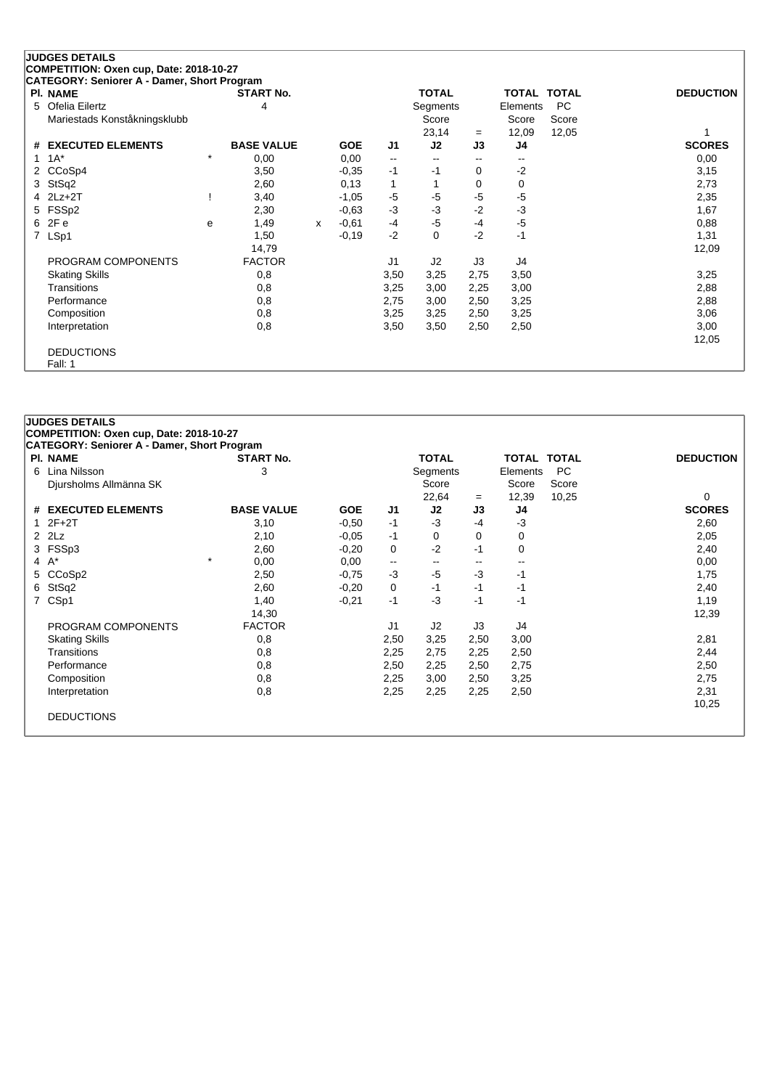## **JUDGES DETAILS**

**COMPETITION: Oxen cup, Date: 2018-10-27**

| CATEGORY: Seniorer A - Damer, Short Program |         |                   |   |            |              |                          |       |                    |       |                  |
|---------------------------------------------|---------|-------------------|---|------------|--------------|--------------------------|-------|--------------------|-------|------------------|
| <b>PI. NAME</b>                             |         | <b>START No.</b>  |   |            |              | <b>TOTAL</b>             |       | <b>TOTAL TOTAL</b> |       | <b>DEDUCTION</b> |
| 5 Ofelia Eilertz                            |         | 4                 |   |            |              | Segments                 |       | Elements           | PC.   |                  |
| Mariestads Konståkningsklubb                |         |                   |   |            |              | Score                    |       | Score              | Score |                  |
|                                             |         |                   |   |            |              | 23,14                    | $=$   | 12,09              | 12,05 |                  |
| # EXECUTED ELEMENTS                         |         | <b>BASE VALUE</b> |   | <b>GOE</b> | J1           | J2                       | J3    | J4                 |       | <b>SCORES</b>    |
| 1 $1A^*$                                    | $\star$ | 0,00              |   | 0,00       | $\mathbf{u}$ | $\overline{\phantom{a}}$ | $- -$ | --                 |       | 0,00             |
| 2 CCoSp4                                    |         | 3,50              |   | $-0.35$    | -1           | -1                       | 0     | $-2$               |       | 3,15             |
| 3 StSq2                                     |         | 2,60              |   | 0,13       | $\mathbf{1}$ |                          | 0     | 0                  |       | 2,73             |
| $4$ $2Lz+2T$                                |         | 3,40              |   | $-1,05$    | $-5$         | $-5$                     | $-5$  | $-5$               |       | 2,35             |
| 5 FSSp2                                     |         | 2,30              |   | $-0.63$    | $-3$         | $-3$                     | $-2$  | $-3$               |       | 1,67             |
| 6 2Fe                                       | e       | 1,49              | х | $-0.61$    | -4           | $-5$                     | $-4$  | $-5$               |       | 0,88             |
| 7 LSp1                                      |         | 1,50              |   | $-0,19$    | $-2$         | 0                        | $-2$  | $-1$               |       | 1,31             |
|                                             |         | 14,79             |   |            |              |                          |       |                    |       | 12,09            |
| PROGRAM COMPONENTS                          |         | <b>FACTOR</b>     |   |            | J1           | J2                       | J3    | J4                 |       |                  |
| <b>Skating Skills</b>                       |         | 0,8               |   |            | 3,50         | 3,25                     | 2,75  | 3,50               |       | 3,25             |
| Transitions                                 |         | 0,8               |   |            | 3,25         | 3,00                     | 2,25  | 3,00               |       | 2,88             |
| Performance                                 |         | 0,8               |   |            | 2,75         | 3,00                     | 2,50  | 3,25               |       | 2,88             |
| Composition                                 |         | 0,8               |   |            | 3,25         | 3,25                     | 2,50  | 3,25               |       | 3,06             |
| Interpretation                              |         | 0,8               |   |            | 3,50         | 3,50                     | 2,50  | 2,50               |       | 3,00             |
|                                             |         |                   |   |            |              |                          |       |                    |       | 12,05            |
| <b>DEDUCTIONS</b>                           |         |                   |   |            |              |                          |       |                    |       |                  |
| Fall: 1                                     |         |                   |   |            |              |                          |       |                    |       |                  |

| <b>PI. NAME</b>        | <b>START No.</b>  |            |                   | <b>TOTAL</b>             |          | <b>TOTAL TOTAL</b> |           | <b>DEDUCTION</b> |  |      |
|------------------------|-------------------|------------|-------------------|--------------------------|----------|--------------------|-----------|------------------|--|------|
| 6 Lina Nilsson         | 3                 |            |                   | Segments                 |          | Elements           | <b>PC</b> |                  |  |      |
| Djursholms Allmänna SK |                   |            |                   | Score                    |          | Score              | Score     |                  |  |      |
|                        |                   |            |                   | 22,64                    | $=$      | 12,39              | 10,25     | $\Omega$         |  |      |
| # EXECUTED ELEMENTS    | <b>BASE VALUE</b> | <b>GOE</b> | J <sub>1</sub>    | J2                       | J3       | J4                 |           | <b>SCORES</b>    |  |      |
| $12F+2T$               | 3,10              | $-0.50$    | $-1$              | $-3$                     | $-4$     | $-3$               |           | 2,60             |  |      |
| $2$ $2$ Lz             | 2,10              | $-0.05$    | -1                | 0                        | $\Omega$ | 0                  |           | 2,05             |  |      |
| 3 FSSp3                | 2,60              | $-0,20$    | 0                 | $-2$                     | -1       | 0                  |           | 2,40             |  |      |
| 4 $A^*$                | $\star$<br>0,00   | 0,00       | $\qquad \qquad -$ | $\overline{\phantom{a}}$ | $-$      | $- -$              |           | 0,00             |  |      |
| 5 CCoSp2               | 2,50              | $-0,75$    | $-3$              | $-5$                     | $-3$     | -1                 |           | 1,75             |  |      |
| 6 StSq2                | 2,60              | $-0,20$    | 0                 | -1                       |          |                    | -1        | -1               |  | 2,40 |
| 7 CSp1                 | 1,40              | $-0,21$    | $-1$              | $-3$                     | $-1$     | -1                 |           | 1,19             |  |      |
|                        | 14,30             |            |                   |                          |          |                    |           | 12,39            |  |      |
| PROGRAM COMPONENTS     | <b>FACTOR</b>     |            | J1                | J <sub>2</sub>           | J3       | J4                 |           |                  |  |      |
| <b>Skating Skills</b>  | 0,8               |            | 2,50              | 3,25                     | 2,50     | 3,00               |           | 2,81             |  |      |
| Transitions            | 0,8               |            | 2,25              | 2,75                     | 2,25     | 2,50               |           | 2,44             |  |      |
| Performance            | 0,8               |            | 2,50              | 2,25                     | 2,50     | 2,75               |           | 2,50             |  |      |
| Composition            | 0,8               |            | 2,25              | 3,00                     | 2,50     | 3,25               |           | 2,75             |  |      |
| Interpretation         | 0,8               |            | 2,25              | 2,25                     | 2,25     | 2,50               |           | 2,31             |  |      |
|                        |                   |            |                   |                          |          |                    |           | 10,25            |  |      |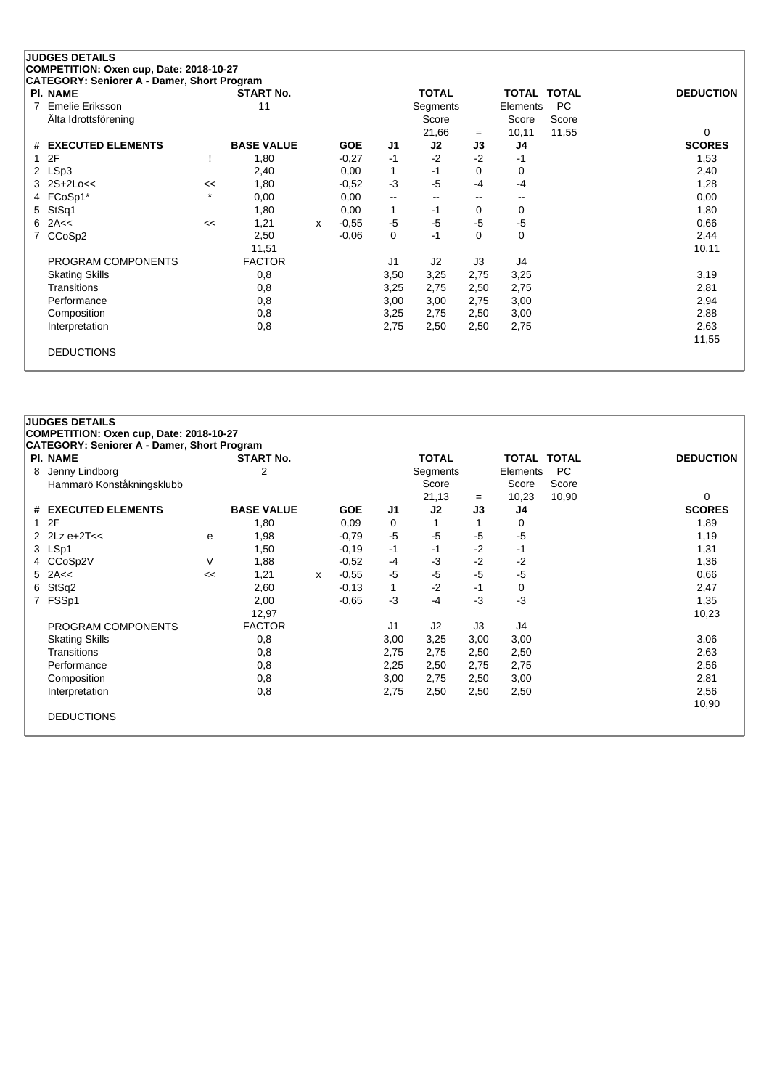## **JUDGES DETAILS**

**COMPETITION: Oxen cup, Date: 2018-10-27**

| <b>PI. NAME</b>       |         | <b>START No.</b>  |   |            |                          | <b>TOTAL</b> |      | TOTAL TOTAL |           | <b>DEDUCTION</b> |
|-----------------------|---------|-------------------|---|------------|--------------------------|--------------|------|-------------|-----------|------------------|
| 7 Emelie Eriksson     |         | 11                |   |            |                          | Segments     |      | Elements    | <b>PC</b> |                  |
| Älta Idrottsförening  |         |                   |   |            |                          | Score        |      | Score       | Score     |                  |
|                       |         |                   |   |            |                          | 21,66        | $=$  | 10,11       | 11,55     | 0                |
| # EXECUTED ELEMENTS   |         | <b>BASE VALUE</b> |   | <b>GOE</b> | J1                       | J2           | J3   | J4          |           | <b>SCORES</b>    |
| 12F                   |         | 1,80              |   | $-0,27$    | $-1$                     | $-2$         | $-2$ | -1          |           | 1,53             |
| 2 LSp3                |         | 2,40              |   | 0,00       | 1                        | -1           | 0    | 0           |           | 2,40             |
| $3$ $2S+2Loc<$        | <<      | 1,80              |   | $-0,52$    | -3                       | $-5$         | $-4$ | $-4$        |           | 1,28             |
| 4 FCoSp1*             | $\star$ | 0,00              |   | 0,00       | $\overline{\phantom{a}}$ | --           | --   | --          |           | 0,00             |
| 5 StSq1               |         | 1,80              |   | 0,00       | 1                        | -1           | 0    | 0           |           | 1,80             |
| $6$ 2A $<$            | <<      | 1,21              | x | $-0,55$    | $-5$                     | $-5$         | $-5$ | $-5$        |           | 0,66             |
| 7 CCoSp2              |         | 2,50              |   | $-0.06$    | 0                        | $-1$         | 0    | $\mathbf 0$ |           | 2,44             |
|                       |         | 11,51             |   |            |                          |              |      |             |           | 10,11            |
| PROGRAM COMPONENTS    |         | <b>FACTOR</b>     |   |            | J1                       | J2           | J3   | J4          |           |                  |
| <b>Skating Skills</b> |         | 0,8               |   |            | 3,50                     | 3,25         | 2,75 | 3,25        |           | 3,19             |
| Transitions           |         | 0,8               |   |            | 3,25                     | 2,75         | 2,50 | 2,75        |           | 2,81             |
| Performance           |         | 0,8               |   |            | 3,00                     | 3,00         | 2,75 | 3,00        |           | 2,94             |
| Composition           |         | 0,8               |   |            | 3,25                     | 2,75         | 2,50 | 3,00        |           | 2,88             |
| Interpretation        |         | 0,8               |   |            | 2,75                     | 2,50         | 2,50 | 2,75        |           | 2,63             |
|                       |         |                   |   |            |                          |              |      |             |           | 11,55            |
| <b>DEDUCTIONS</b>     |         |                   |   |            |                          |              |      |             |           |                  |

|   | <b>PI. NAME</b>                             |    | <b>START No.</b>  |   |            |                | <b>TOTAL</b>      |      | <b>TOTAL TOTAL</b> |                    | <b>DEDUCTION</b> |
|---|---------------------------------------------|----|-------------------|---|------------|----------------|-------------------|------|--------------------|--------------------|------------------|
| 8 | Jenny Lindborg<br>Hammarö Konståkningsklubb |    | 2                 |   |            |                | Segments<br>Score |      | Elements<br>Score  | <b>PC</b><br>Score |                  |
|   |                                             |    |                   |   |            |                | 21,13             | $=$  | 10,23              | 10,90              | $\Omega$         |
|   | # EXECUTED ELEMENTS                         |    | <b>BASE VALUE</b> |   | <b>GOE</b> | J <sub>1</sub> | J2                | J3   | J4                 |                    | <b>SCORES</b>    |
|   | 12F                                         |    | 1,80              |   | 0,09       | 0              |                   |      | 0                  |                    | 1,89             |
|   | 2 $2Lz e+2T<<$                              | е  | 1,98              |   | $-0,79$    | $-5$           | $-5$              | $-5$ | $-5$               |                    | 1,19             |
|   | 3 LSp1                                      |    | 1,50              |   | $-0,19$    | $-1$           | -1                | $-2$ | -1                 |                    | 1,31             |
|   | 4 CCoSp2V                                   | V  | 1,88              |   | $-0,52$    | $-4$           | $-3$              | $-2$ | $-2$               |                    | 1,36             |
|   | $5$ 2A $\leq$                               | << | 1,21              | x | $-0.55$    | $-5$           | $-5$              | $-5$ | $-5$               |                    | 0,66             |
|   | 6 StSq2                                     |    | 2,60              |   | $-0,13$    | 1              | $-2$              | $-1$ | 0                  |                    | 2,47             |
|   | 7 FSSp1                                     |    | 2,00              |   | $-0.65$    | $-3$           | $-4$              | -3   | $-3$               |                    | 1,35             |
|   |                                             |    | 12,97             |   |            |                |                   |      |                    |                    | 10,23            |
|   | PROGRAM COMPONENTS                          |    | <b>FACTOR</b>     |   |            | J1             | J2                | J3   | J4                 |                    |                  |
|   | <b>Skating Skills</b>                       |    | 0,8               |   |            | 3,00           | 3,25              | 3,00 | 3,00               |                    | 3,06             |
|   | Transitions                                 |    | 0,8               |   |            | 2,75           | 2,75              | 2,50 | 2,50               |                    | 2,63             |
|   | Performance                                 |    | 0,8               |   |            | 2,25           | 2,50              | 2,75 | 2,75               |                    | 2,56             |
|   | Composition                                 |    | 0,8               |   |            | 3,00           | 2,75              | 2,50 | 3,00               |                    | 2,81             |
|   | Interpretation                              |    | 0,8               |   |            | 2,75           | 2,50              | 2,50 | 2,50               |                    | 2,56             |
|   |                                             |    |                   |   |            |                |                   |      |                    |                    | 10,90            |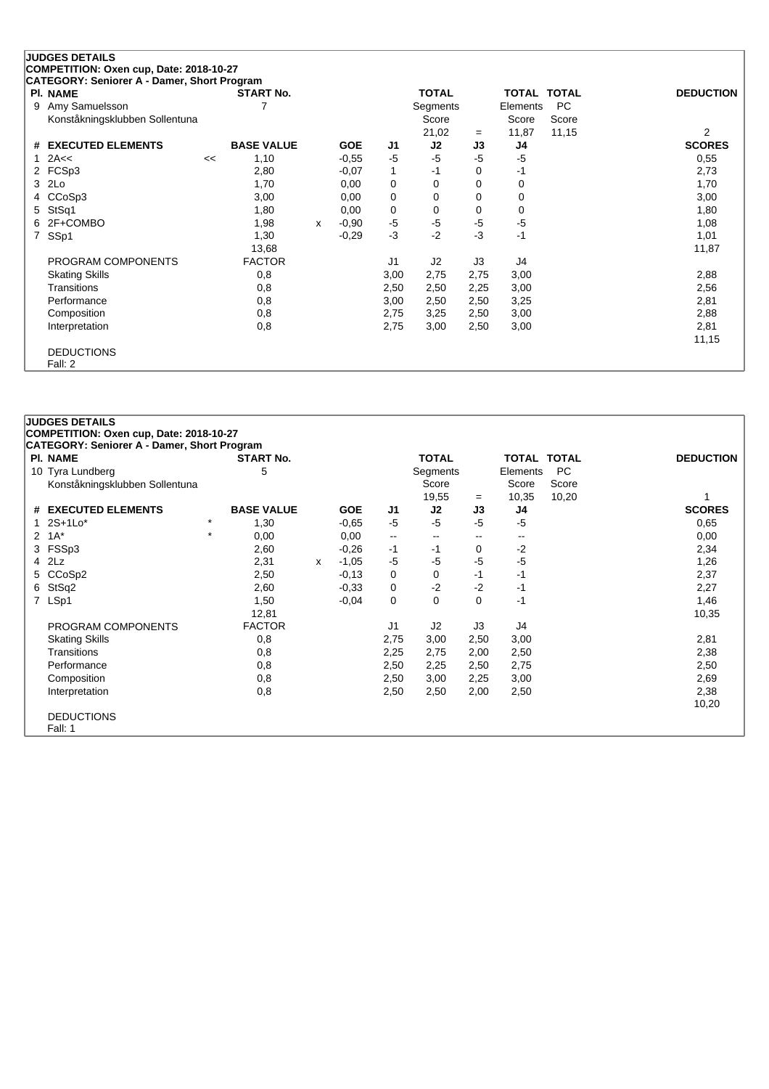|   | <b>JUDGES DETAILS</b>                                                                  |    |                   |   |            |      |              |          |                    |           |                  |
|---|----------------------------------------------------------------------------------------|----|-------------------|---|------------|------|--------------|----------|--------------------|-----------|------------------|
|   | COMPETITION: Oxen cup, Date: 2018-10-27<br>CATEGORY: Seniorer A - Damer, Short Program |    |                   |   |            |      |              |          |                    |           |                  |
|   | <b>PI. NAME</b>                                                                        |    | <b>START No.</b>  |   |            |      | <b>TOTAL</b> |          | <b>TOTAL TOTAL</b> |           | <b>DEDUCTION</b> |
| 9 | Amy Samuelsson                                                                         |    |                   |   |            |      | Segments     |          | Elements           | <b>PC</b> |                  |
|   | Konståkningsklubben Sollentuna                                                         |    |                   |   |            |      | Score        |          | Score              | Score     |                  |
|   |                                                                                        |    |                   |   |            |      | 21,02        | $=$      | 11,87              | 11,15     | 2                |
|   | # EXECUTED ELEMENTS                                                                    |    | <b>BASE VALUE</b> |   | <b>GOE</b> | J1   | J2           | J3       | J4                 |           | <b>SCORES</b>    |
|   | 2A<<                                                                                   | << | 1,10              |   | $-0,55$    | $-5$ | $-5$         | $-5$     | $-5$               |           | 0,55             |
| 2 | FCSp3                                                                                  |    | 2,80              |   | $-0.07$    | 1    | $-1$         | 0        | -1                 |           | 2,73             |
| 3 | 2Lo                                                                                    |    | 1,70              |   | 0,00       | 0    | 0            | $\Omega$ | 0                  |           | 1,70             |
|   | CCoSp3                                                                                 |    | 3,00              |   | 0,00       | 0    | 0            | 0        | 0                  |           | 3,00             |
| 5 | StSq1                                                                                  |    | 1,80              |   | 0,00       | 0    | 0            | 0        | 0                  |           | 1,80             |
|   | 2F+COMBO                                                                               |    | 1,98              | X | $-0,90$    | $-5$ | $-5$         | -5       | $-5$               |           | 1,08             |
| 7 | SSp1                                                                                   |    | 1,30              |   | $-0,29$    | $-3$ | $-2$         | $-3$     | $-1$               |           | 1,01             |
|   |                                                                                        |    | 13,68             |   |            |      |              |          |                    |           | 11,87            |
|   | PROGRAM COMPONENTS                                                                     |    | <b>FACTOR</b>     |   |            | J1   | J2           | J3       | J4                 |           |                  |
|   | <b>Skating Skills</b>                                                                  |    | 0,8               |   |            | 3,00 | 2,75         | 2,75     | 3,00               |           | 2,88             |
|   | Transitions                                                                            |    | 0,8               |   |            | 2,50 | 2,50         | 2,25     | 3,00               |           | 2,56             |
|   | Performance                                                                            |    | 0,8               |   |            | 3,00 | 2,50         | 2,50     | 3,25               |           | 2,81             |
|   | Composition                                                                            |    | 0,8               |   |            | 2,75 | 3,25         | 2,50     | 3,00               |           | 2,88             |
|   | Interpretation                                                                         |    | 0,8               |   |            | 2,75 | 3,00         | 2,50     | 3,00               |           | 2,81             |
|   |                                                                                        |    |                   |   |            |      |              |          |                    |           | 11,15            |
|   | <b>DEDUCTIONS</b>                                                                      |    |                   |   |            |      |              |          |                    |           |                  |
|   | Fall: 2                                                                                |    |                   |   |            |      |              |          |                    |           |                  |

|              | <b>JUDGES DETAILS</b>                       |          |                   |   |            |                          |              |          |                          |           |                  |
|--------------|---------------------------------------------|----------|-------------------|---|------------|--------------------------|--------------|----------|--------------------------|-----------|------------------|
|              | COMPETITION: Oxen cup, Date: 2018-10-27     |          |                   |   |            |                          |              |          |                          |           |                  |
|              | CATEGORY: Seniorer A - Damer, Short Program |          |                   |   |            |                          |              |          |                          |           |                  |
|              | PI. NAME                                    |          | <b>START No.</b>  |   |            |                          | <b>TOTAL</b> |          | TOTAL TOTAL              |           | <b>DEDUCTION</b> |
|              | 10 Tyra Lundberg                            |          | 5                 |   |            |                          | Segments     |          | Elements                 | <b>PC</b> |                  |
|              | Konståkningsklubben Sollentuna              |          |                   |   |            |                          | Score        |          | Score                    | Score     |                  |
|              |                                             |          |                   |   |            |                          | 19,55        | $=$      | 10,35                    | 10,20     |                  |
| #            | <b>EXECUTED ELEMENTS</b>                    |          | <b>BASE VALUE</b> |   | <b>GOE</b> | J1                       | J2           | J3       | J4                       |           | <b>SCORES</b>    |
| 1            | $2S+1Lo*$                                   | $\star$  | 1,30              |   | $-0,65$    | $-5$                     | $-5$         | $-5$     | $-5$                     |           | 0,65             |
| $\mathbf{2}$ | $1A^*$                                      | $^\star$ | 0,00              |   | 0,00       | $\overline{\phantom{a}}$ | $-$          | --       | $\overline{\phantom{a}}$ |           | 0,00             |
|              | 3 FSSp3                                     |          | 2,60              |   | $-0,26$    | $-1$                     | $-1$         | 0        | $-2$                     |           | 2,34             |
|              | $4$ $2Lz$                                   |          | 2,31              | x | $-1,05$    | $-5$                     | -5           | $-5$     | $-5$                     |           | 1,26             |
|              | 5 CCoSp2                                    |          | 2,50              |   | $-0,13$    | 0                        | 0            | $-1$     | -1                       |           | 2,37             |
|              | 6 StSq2                                     |          | 2,60              |   | $-0.33$    | 0                        | $-2$         | $-2$     | -1                       |           | 2,27             |
|              | 7 LSp1                                      |          | 1,50              |   | $-0,04$    | 0                        | 0            | $\Omega$ | $-1$                     |           | 1,46             |
|              |                                             |          | 12,81             |   |            |                          |              |          |                          |           | 10,35            |
|              | PROGRAM COMPONENTS                          |          | <b>FACTOR</b>     |   |            | J <sub>1</sub>           | J2           | J3       | J4                       |           |                  |
|              | <b>Skating Skills</b>                       |          | 0,8               |   |            | 2,75                     | 3,00         | 2,50     | 3,00                     |           | 2,81             |
|              | <b>Transitions</b>                          |          | 0,8               |   |            | 2,25                     | 2,75         | 2,00     | 2,50                     |           | 2,38             |
|              | Performance                                 |          | 0,8               |   |            | 2,50                     | 2,25         | 2,50     | 2,75                     |           | 2,50             |
|              | Composition                                 |          | 0,8               |   |            | 2,50                     | 3,00         | 2,25     | 3,00                     |           | 2,69             |
|              | Interpretation                              |          | 0,8               |   |            | 2,50                     | 2,50         | 2,00     | 2,50                     |           | 2,38             |
|              |                                             |          |                   |   |            |                          |              |          |                          |           | 10,20            |
|              | <b>DEDUCTIONS</b>                           |          |                   |   |            |                          |              |          |                          |           |                  |
|              | Fall: 1                                     |          |                   |   |            |                          |              |          |                          |           |                  |